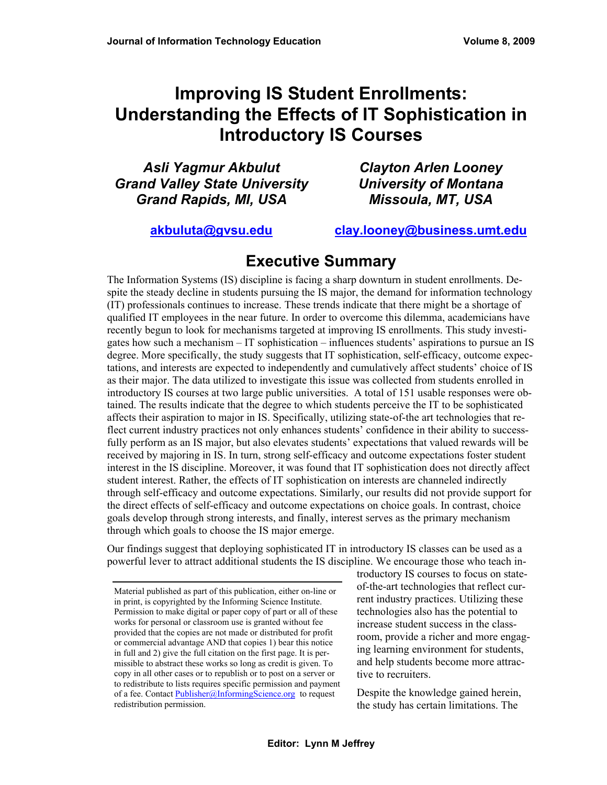# **Improving IS Student Enrollments: Understanding the Effects of IT Sophistication in Introductory IS Courses**

*Asli Yagmur Akbulut Grand Valley State University Grand Rapids, MI, USA* 

*Clayton Arlen Looney University of Montana Missoula, MT, USA* 

**[akbuluta@gvsu.edu](mailto:akbuluta@gvsu.edu) [clay.looney@business.umt.edu](mailto:clay.looney@business.umt.edu)**

## **Executive Summary**

The Information Systems (IS) discipline is facing a sharp downturn in student enrollments. Despite the steady decline in students pursuing the IS major, the demand for information technology (IT) professionals continues to increase. These trends indicate that there might be a shortage of qualified IT employees in the near future. In order to overcome this dilemma, academicians have recently begun to look for mechanisms targeted at improving IS enrollments. This study investigates how such a mechanism – IT sophistication – influences students' aspirations to pursue an IS degree. More specifically, the study suggests that IT sophistication, self-efficacy, outcome expectations, and interests are expected to independently and cumulatively affect students' choice of IS as their major. The data utilized to investigate this issue was collected from students enrolled in introductory IS courses at two large public universities. A total of 151 usable responses were obtained. The results indicate that the degree to which students perceive the IT to be sophisticated affects their aspiration to major in IS. Specifically, utilizing state-of-the art technologies that reflect current industry practices not only enhances students' confidence in their ability to successfully perform as an IS major, but also elevates students' expectations that valued rewards will be received by majoring in IS. In turn, strong self-efficacy and outcome expectations foster student interest in the IS discipline. Moreover, it was found that IT sophistication does not directly affect student interest. Rather, the effects of IT sophistication on interests are channeled indirectly through self-efficacy and outcome expectations. Similarly, our results did not provide support for the direct effects of self-efficacy and outcome expectations on choice goals. In contrast, choice goals develop through strong interests, and finally, interest serves as the primary mechanism through which goals to choose the IS major emerge.

Our findings suggest that deploying sophisticated IT in introductory IS classes can be used as a powerful lever to attract additional students the IS discipline. We encourage those who teach in-

troductory IS courses to focus on stateof-the-art technologies that reflect current industry practices. Utilizing these technologies also has the potential to increase student success in the classroom, provide a richer and more engaging learning environment for students, and help students become more attractive to recruiters.

Despite the knowledge gained herein, the study has certain limitations. The

Material published as part of this publication, either on-line or in print, is copyrighted by the Informing Science Institute. Permission to make digital or paper copy of part or all of these works for personal or classroom use is granted without fee provided that the copies are not made or distributed for profit or commercial advantage AND that copies 1) bear this notice in full and 2) give the full citation on the first page. It is permissible to abstract these works so long as credit is given. To copy in all other cases or to republish or to post on a server or to redistribute to lists requires specific permission and payment of a fee. Contact [Publisher@InformingScience.org](mailto:Publisher@InformingScience.org) to request redistribution permission.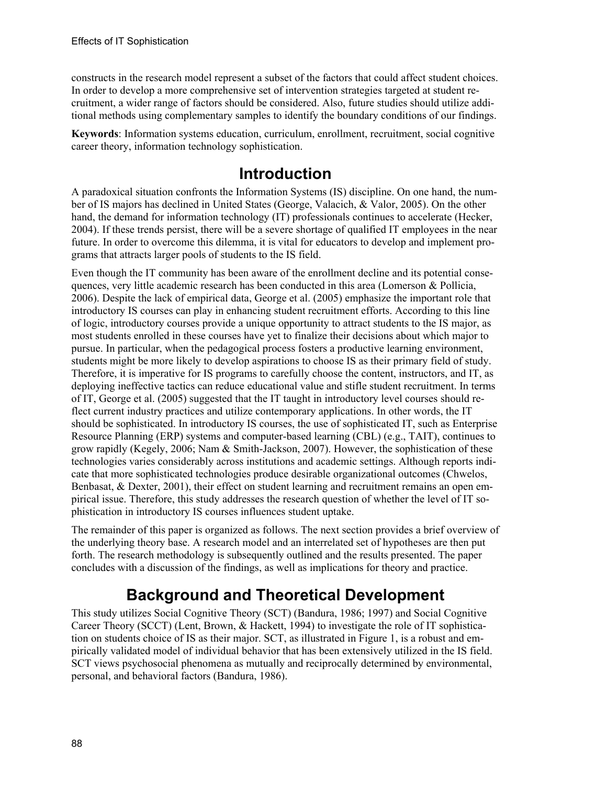constructs in the research model represent a subset of the factors that could affect student choices. In order to develop a more comprehensive set of intervention strategies targeted at student recruitment, a wider range of factors should be considered. Also, future studies should utilize additional methods using complementary samples to identify the boundary conditions of our findings.

**Keywords**: Information systems education, curriculum, enrollment, recruitment, social cognitive career theory, information technology sophistication.

## **Introduction**

A paradoxical situation confronts the Information Systems (IS) discipline. On one hand, the number of IS majors has declined in United States (George, Valacich, & Valor, 2005). On the other hand, the demand for information technology (IT) professionals continues to accelerate (Hecker, 2004). If these trends persist, there will be a severe shortage of qualified IT employees in the near future. In order to overcome this dilemma, it is vital for educators to develop and implement programs that attracts larger pools of students to the IS field.

Even though the IT community has been aware of the enrollment decline and its potential consequences, very little academic research has been conducted in this area (Lomerson  $\&$  Pollicia, 2006). Despite the lack of empirical data, George et al. (2005) emphasize the important role that introductory IS courses can play in enhancing student recruitment efforts. According to this line of logic, introductory courses provide a unique opportunity to attract students to the IS major, as most students enrolled in these courses have yet to finalize their decisions about which major to pursue. In particular, when the pedagogical process fosters a productive learning environment, students might be more likely to develop aspirations to choose IS as their primary field of study. Therefore, it is imperative for IS programs to carefully choose the content, instructors, and IT, as deploying ineffective tactics can reduce educational value and stifle student recruitment. In terms of IT, George et al. (2005) suggested that the IT taught in introductory level courses should reflect current industry practices and utilize contemporary applications. In other words, the IT should be sophisticated. In introductory IS courses, the use of sophisticated IT, such as Enterprise Resource Planning (ERP) systems and computer-based learning (CBL) (e.g., TAIT), continues to grow rapidly (Kegely, 2006; Nam & Smith-Jackson, 2007). However, the sophistication of these technologies varies considerably across institutions and academic settings. Although reports indicate that more sophisticated technologies produce desirable organizational outcomes (Chwelos, Benbasat, & Dexter, 2001), their effect on student learning and recruitment remains an open empirical issue. Therefore, this study addresses the research question of whether the level of IT sophistication in introductory IS courses influences student uptake.

The remainder of this paper is organized as follows. The next section provides a brief overview of the underlying theory base. A research model and an interrelated set of hypotheses are then put forth. The research methodology is subsequently outlined and the results presented. The paper concludes with a discussion of the findings, as well as implications for theory and practice.

# **Background and Theoretical Development**

This study utilizes Social Cognitive Theory (SCT) (Bandura, 1986; 1997) and Social Cognitive Career Theory (SCCT) (Lent, Brown, & Hackett, 1994) to investigate the role of IT sophistication on students choice of IS as their major. SCT, as illustrated in Figure 1, is a robust and empirically validated model of individual behavior that has been extensively utilized in the IS field. SCT views psychosocial phenomena as mutually and reciprocally determined by environmental, personal, and behavioral factors (Bandura, 1986).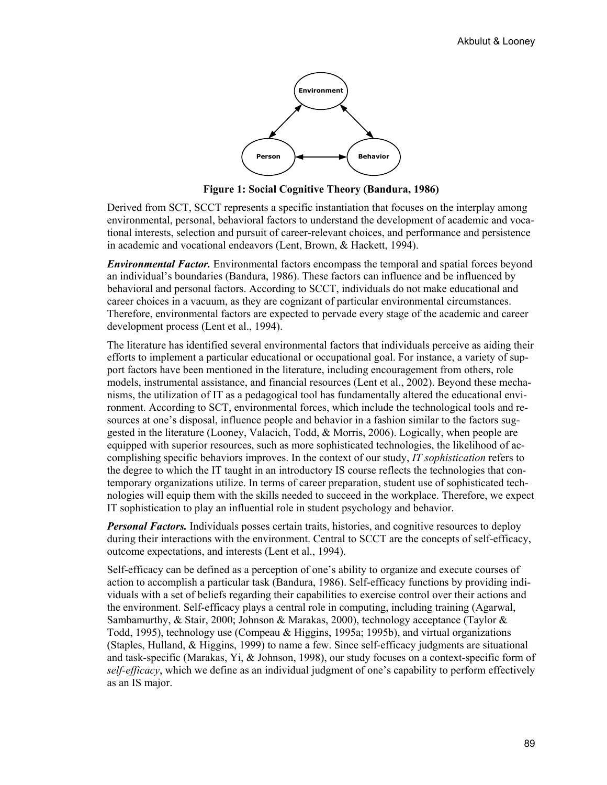

**Figure 1: Social Cognitive Theory (Bandura, 1986)** 

Derived from SCT, SCCT represents a specific instantiation that focuses on the interplay among environmental, personal, behavioral factors to understand the development of academic and vocational interests, selection and pursuit of career-relevant choices, and performance and persistence in academic and vocational endeavors (Lent, Brown, & Hackett, 1994).

*Environmental Factor.* Environmental factors encompass the temporal and spatial forces beyond an individual's boundaries (Bandura, 1986). These factors can influence and be influenced by behavioral and personal factors. According to SCCT, individuals do not make educational and career choices in a vacuum, as they are cognizant of particular environmental circumstances. Therefore, environmental factors are expected to pervade every stage of the academic and career development process (Lent et al., 1994).

The literature has identified several environmental factors that individuals perceive as aiding their efforts to implement a particular educational or occupational goal. For instance, a variety of support factors have been mentioned in the literature, including encouragement from others, role models, instrumental assistance, and financial resources (Lent et al., 2002). Beyond these mechanisms, the utilization of IT as a pedagogical tool has fundamentally altered the educational environment. According to SCT, environmental forces, which include the technological tools and resources at one's disposal, influence people and behavior in a fashion similar to the factors suggested in the literature (Looney, Valacich, Todd, & Morris, 2006). Logically, when people are equipped with superior resources, such as more sophisticated technologies, the likelihood of accomplishing specific behaviors improves. In the context of our study, *IT sophistication* refers to the degree to which the IT taught in an introductory IS course reflects the technologies that contemporary organizations utilize. In terms of career preparation, student use of sophisticated technologies will equip them with the skills needed to succeed in the workplace. Therefore, we expect IT sophistication to play an influential role in student psychology and behavior.

*Personal Factors.* Individuals posses certain traits, histories, and cognitive resources to deploy during their interactions with the environment. Central to SCCT are the concepts of self-efficacy, outcome expectations, and interests (Lent et al., 1994).

Self-efficacy can be defined as a perception of one's ability to organize and execute courses of action to accomplish a particular task (Bandura, 1986). Self-efficacy functions by providing individuals with a set of beliefs regarding their capabilities to exercise control over their actions and the environment. Self-efficacy plays a central role in computing, including training (Agarwal, Sambamurthy, & Stair, 2000; Johnson & Marakas, 2000), technology acceptance (Taylor & Todd, 1995), technology use (Compeau & Higgins, 1995a; 1995b), and virtual organizations (Staples, Hulland, & Higgins, 1999) to name a few. Since self-efficacy judgments are situational and task-specific (Marakas, Yi, & Johnson, 1998), our study focuses on a context-specific form of *self-efficacy*, which we define as an individual judgment of one's capability to perform effectively as an IS major.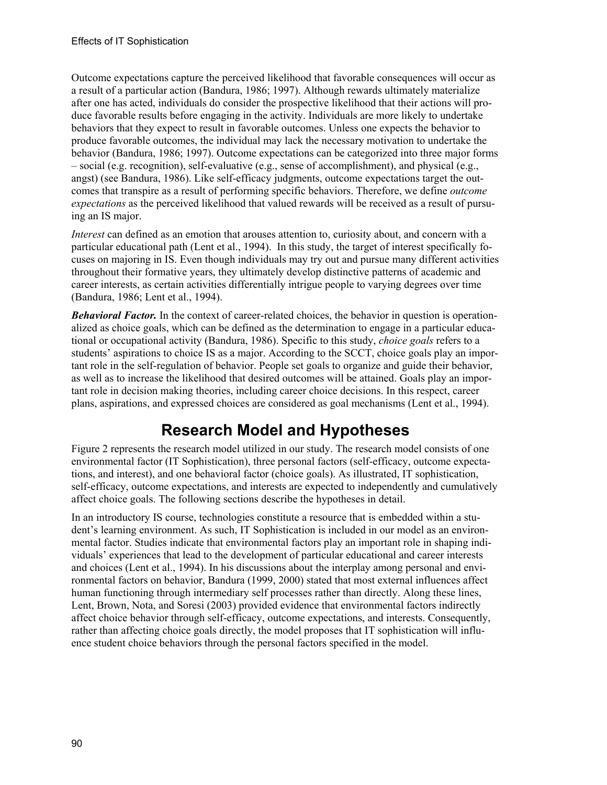Outcome expectations capture the perceived likelihood that favorable consequences will occur as a result of a particular action (Bandura, 1986; 1997). Although rewards ultimately materialize after one has acted, individuals do consider the prospective likelihood that their actions will produce favorable results before engaging in the activity. Individuals are more likely to undertake behaviors that they expect to result in favorable outcomes. Unless one expects the behavior to produce favorable outcomes, the individual may lack the necessary motivation to undertake the behavior (Bandura, 1986; 1997). Outcome expectations can be categorized into three major forms – social (e.g. recognition), self-evaluative (e.g., sense of accomplishment), and physical (e.g., angst) (see Bandura, 1986). Like self-efficacy judgments, outcome expectations target the outcomes that transpire as a result of performing specific behaviors. Therefore, we define *outcome expectations* as the perceived likelihood that valued rewards will be received as a result of pursuing an IS major.

*Interest* can defined as an emotion that arouses attention to, curiosity about, and concern with a particular educational path (Lent et al., 1994). In this study, the target of interest specifically focuses on majoring in IS. Even though individuals may try out and pursue many different activities throughout their formative years, they ultimately develop distinctive patterns of academic and career interests, as certain activities differentially intrigue people to varying degrees over time (Bandura, 1986; Lent et al., 1994).

*Behavioral Factor.* In the context of career-related choices, the behavior in question is operationalized as choice goals, which can be defined as the determination to engage in a particular educational or occupational activity (Bandura, 1986). Specific to this study, *choice goals* refers to a students' aspirations to choice IS as a major. According to the SCCT, choice goals play an important role in the self-regulation of behavior. People set goals to organize and guide their behavior, as well as to increase the likelihood that desired outcomes will be attained. Goals play an important role in decision making theories, including career choice decisions. In this respect, career plans, aspirations, and expressed choices are considered as goal mechanisms (Lent et al., 1994).

# **Research Model and Hypotheses**

Figure 2 represents the research model utilized in our study. The research model consists of one environmental factor (IT Sophistication), three personal factors (self-efficacy, outcome expectations, and interest), and one behavioral factor (choice goals). As illustrated, IT sophistication, self-efficacy, outcome expectations, and interests are expected to independently and cumulatively affect choice goals. The following sections describe the hypotheses in detail.

In an introductory IS course, technologies constitute a resource that is embedded within a student's learning environment. As such, IT Sophistication is included in our model as an environmental factor. Studies indicate that environmental factors play an important role in shaping individuals' experiences that lead to the development of particular educational and career interests and choices (Lent et al., 1994). In his discussions about the interplay among personal and environmental factors on behavior, Bandura (1999, 2000) stated that most external influences affect human functioning through intermediary self processes rather than directly. Along these lines, Lent, Brown, Nota, and Soresi (2003) provided evidence that environmental factors indirectly affect choice behavior through self-efficacy, outcome expectations, and interests. Consequently, rather than affecting choice goals directly, the model proposes that IT sophistication will influence student choice behaviors through the personal factors specified in the model.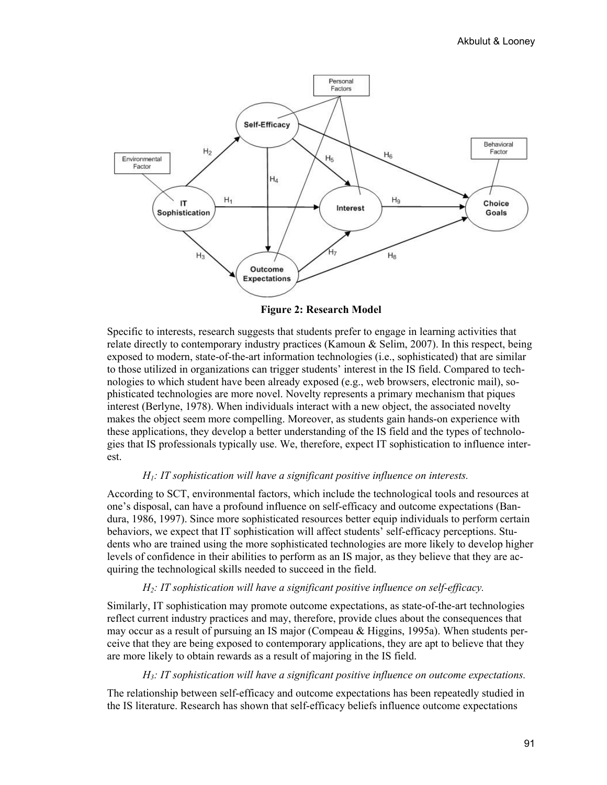

**Figure 2: Research Model** 

Specific to interests, research suggests that students prefer to engage in learning activities that relate directly to contemporary industry practices (Kamoun & Selim, 2007). In this respect, being exposed to modern, state-of-the-art information technologies (i.e., sophisticated) that are similar to those utilized in organizations can trigger students' interest in the IS field. Compared to technologies to which student have been already exposed (e.g., web browsers, electronic mail), sophisticated technologies are more novel. Novelty represents a primary mechanism that piques interest (Berlyne, 1978). When individuals interact with a new object, the associated novelty makes the object seem more compelling. Moreover, as students gain hands-on experience with these applications, they develop a better understanding of the IS field and the types of technologies that IS professionals typically use. We, therefore, expect IT sophistication to influence interest.

#### *H1: IT sophistication will have a significant positive influence on interests.*

According to SCT, environmental factors, which include the technological tools and resources at one's disposal, can have a profound influence on self-efficacy and outcome expectations (Bandura, 1986, 1997). Since more sophisticated resources better equip individuals to perform certain behaviors, we expect that IT sophistication will affect students' self-efficacy perceptions. Students who are trained using the more sophisticated technologies are more likely to develop higher levels of confidence in their abilities to perform as an IS major, as they believe that they are acquiring the technological skills needed to succeed in the field.

#### *H2: IT sophistication will have a significant positive influence on self-efficacy.*

Similarly, IT sophistication may promote outcome expectations, as state-of-the-art technologies reflect current industry practices and may, therefore, provide clues about the consequences that may occur as a result of pursuing an IS major (Compeau & Higgins, 1995a). When students perceive that they are being exposed to contemporary applications, they are apt to believe that they are more likely to obtain rewards as a result of majoring in the IS field.

#### *H3: IT sophistication will have a significant positive influence on outcome expectations.*

The relationship between self-efficacy and outcome expectations has been repeatedly studied in the IS literature. Research has shown that self-efficacy beliefs influence outcome expectations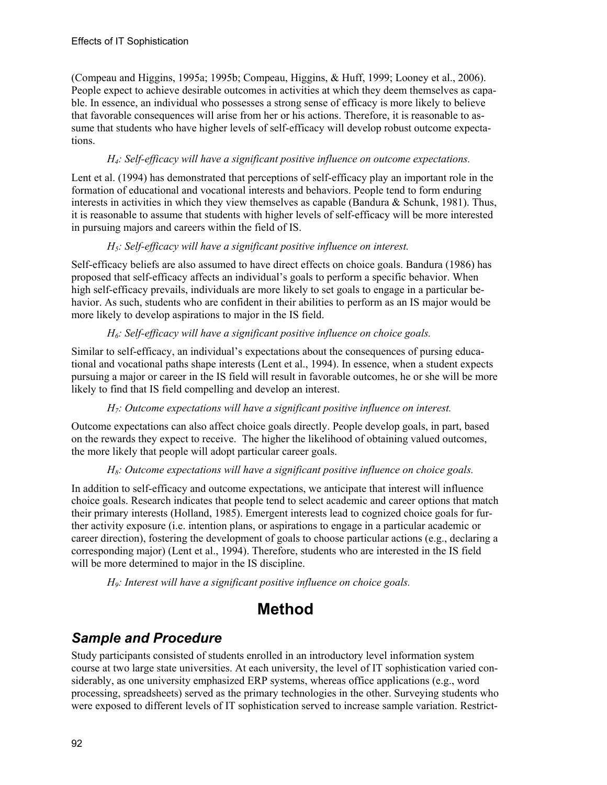(Compeau and Higgins, 1995a; 1995b; Compeau, Higgins, & Huff, 1999; Looney et al., 2006). People expect to achieve desirable outcomes in activities at which they deem themselves as capable. In essence, an individual who possesses a strong sense of efficacy is more likely to believe that favorable consequences will arise from her or his actions. Therefore, it is reasonable to assume that students who have higher levels of self-efficacy will develop robust outcome expectations.

#### *H4: Self-efficacy will have a significant positive influence on outcome expectations.*

Lent et al. (1994) has demonstrated that perceptions of self-efficacy play an important role in the formation of educational and vocational interests and behaviors. People tend to form enduring interests in activities in which they view themselves as capable (Bandura & Schunk, 1981). Thus, it is reasonable to assume that students with higher levels of self-efficacy will be more interested in pursuing majors and careers within the field of IS.

#### *H5: Self-efficacy will have a significant positive influence on interest.*

Self-efficacy beliefs are also assumed to have direct effects on choice goals. Bandura (1986) has proposed that self-efficacy affects an individual's goals to perform a specific behavior. When high self-efficacy prevails, individuals are more likely to set goals to engage in a particular behavior. As such, students who are confident in their abilities to perform as an IS major would be more likely to develop aspirations to major in the IS field.

#### *H6: Self-efficacy will have a significant positive influence on choice goals.*

Similar to self-efficacy, an individual's expectations about the consequences of pursing educational and vocational paths shape interests (Lent et al., 1994). In essence, when a student expects pursuing a major or career in the IS field will result in favorable outcomes, he or she will be more likely to find that IS field compelling and develop an interest.

#### *H7: Outcome expectations will have a significant positive influence on interest.*

Outcome expectations can also affect choice goals directly. People develop goals, in part, based on the rewards they expect to receive. The higher the likelihood of obtaining valued outcomes, the more likely that people will adopt particular career goals.

#### *H8: Outcome expectations will have a significant positive influence on choice goals.*

In addition to self-efficacy and outcome expectations, we anticipate that interest will influence choice goals. Research indicates that people tend to select academic and career options that match their primary interests (Holland, 1985). Emergent interests lead to cognized choice goals for further activity exposure (i.e. intention plans, or aspirations to engage in a particular academic or career direction), fostering the development of goals to choose particular actions (e.g., declaring a corresponding major) (Lent et al., 1994). Therefore, students who are interested in the IS field will be more determined to major in the IS discipline.

*H9: Interest will have a significant positive influence on choice goals.*

## **Method**

### *Sample and Procedure*

Study participants consisted of students enrolled in an introductory level information system course at two large state universities. At each university, the level of IT sophistication varied considerably, as one university emphasized ERP systems, whereas office applications (e.g., word processing, spreadsheets) served as the primary technologies in the other. Surveying students who were exposed to different levels of IT sophistication served to increase sample variation. Restrict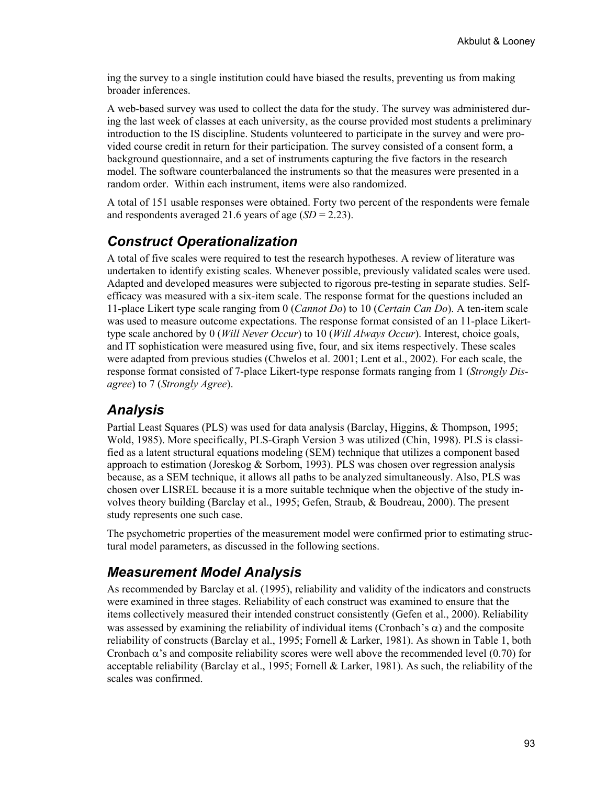ing the survey to a single institution could have biased the results, preventing us from making broader inferences.

A web-based survey was used to collect the data for the study. The survey was administered during the last week of classes at each university, as the course provided most students a preliminary introduction to the IS discipline. Students volunteered to participate in the survey and were provided course credit in return for their participation. The survey consisted of a consent form, a background questionnaire, and a set of instruments capturing the five factors in the research model. The software counterbalanced the instruments so that the measures were presented in a random order. Within each instrument, items were also randomized.

A total of 151 usable responses were obtained. Forty two percent of the respondents were female and respondents averaged 21.6 years of age (*SD* = 2.23).

### *Construct Operationalization*

A total of five scales were required to test the research hypotheses. A review of literature was undertaken to identify existing scales. Whenever possible, previously validated scales were used. Adapted and developed measures were subjected to rigorous pre-testing in separate studies. Selfefficacy was measured with a six-item scale. The response format for the questions included an 11-place Likert type scale ranging from 0 (*Cannot Do*) to 10 (*Certain Can Do*). A ten-item scale was used to measure outcome expectations. The response format consisted of an 11-place Likerttype scale anchored by 0 (*Will Never Occur*) to 10 (*Will Always Occur*). Interest, choice goals, and IT sophistication were measured using five, four, and six items respectively. These scales were adapted from previous studies (Chwelos et al. 2001; Lent et al., 2002). For each scale, the response format consisted of 7-place Likert-type response formats ranging from 1 (*Strongly Disagree*) to 7 (*Strongly Agree*).

### *Analysis*

Partial Least Squares (PLS) was used for data analysis (Barclay, Higgins, & Thompson, 1995; Wold, 1985). More specifically, PLS-Graph Version 3 was utilized (Chin, 1998). PLS is classified as a latent structural equations modeling (SEM) technique that utilizes a component based approach to estimation (Joreskog  $&$  Sorbom, 1993). PLS was chosen over regression analysis because, as a SEM technique, it allows all paths to be analyzed simultaneously. Also, PLS was chosen over LISREL because it is a more suitable technique when the objective of the study involves theory building (Barclay et al., 1995; Gefen, Straub, & Boudreau, 2000). The present study represents one such case.

The psychometric properties of the measurement model were confirmed prior to estimating structural model parameters, as discussed in the following sections.

### *Measurement Model Analysis*

As recommended by Barclay et al. (1995), reliability and validity of the indicators and constructs were examined in three stages. Reliability of each construct was examined to ensure that the items collectively measured their intended construct consistently (Gefen et al., 2000). Reliability was assessed by examining the reliability of individual items (Cronbach's  $\alpha$ ) and the composite reliability of constructs (Barclay et al., 1995; Fornell & Larker, 1981). As shown in Table 1, both Cronbach  $\alpha$ 's and composite reliability scores were well above the recommended level (0.70) for acceptable reliability (Barclay et al., 1995; Fornell & Larker, 1981). As such, the reliability of the scales was confirmed.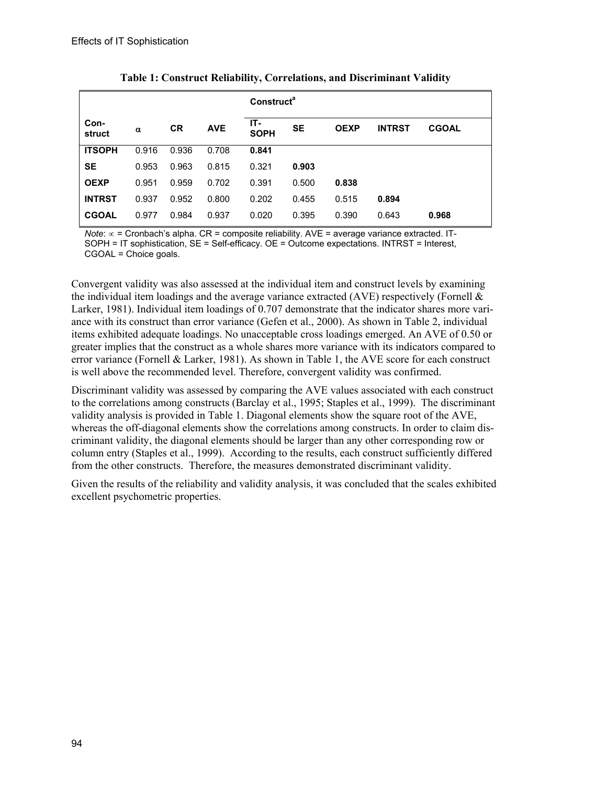|                |          |           |            | Construct <sup>a</sup> |           |             |               |              |
|----------------|----------|-----------|------------|------------------------|-----------|-------------|---------------|--------------|
| Con-<br>struct | $\alpha$ | <b>CR</b> | <b>AVE</b> | IT-<br><b>SOPH</b>     | <b>SE</b> | <b>OEXP</b> | <b>INTRST</b> | <b>CGOAL</b> |
| <b>ITSOPH</b>  | 0.916    | 0.936     | 0.708      | 0.841                  |           |             |               |              |
| <b>SE</b>      | 0.953    | 0.963     | 0.815      | 0.321                  | 0.903     |             |               |              |
| <b>OEXP</b>    | 0.951    | 0.959     | 0.702      | 0.391                  | 0.500     | 0.838       |               |              |
| <b>INTRST</b>  | 0.937    | 0.952     | 0.800      | 0.202                  | 0.455     | 0.515       | 0.894         |              |
| <b>CGOAL</b>   | 0.977    | 0.984     | 0.937      | 0.020                  | 0.395     | 0.390       | 0.643         | 0.968        |

**Table 1: Construct Reliability, Correlations, and Discriminant Validity** 

*Note*: ∝ = Cronbach's alpha. CR = composite reliability. AVE = average variance extracted. IT-SOPH = IT sophistication, SE = Self-efficacy. OE = Outcome expectations. INTRST = Interest, CGOAL = Choice goals.

Convergent validity was also assessed at the individual item and construct levels by examining the individual item loadings and the average variance extracted (AVE) respectively (Fornell  $\&$ Larker, 1981). Individual item loadings of 0.707 demonstrate that the indicator shares more variance with its construct than error variance (Gefen et al., 2000). As shown in Table 2, individual items exhibited adequate loadings. No unacceptable cross loadings emerged. An AVE of 0.50 or greater implies that the construct as a whole shares more variance with its indicators compared to error variance (Fornell & Larker, 1981). As shown in Table 1, the AVE score for each construct is well above the recommended level. Therefore, convergent validity was confirmed.

Discriminant validity was assessed by comparing the AVE values associated with each construct to the correlations among constructs (Barclay et al., 1995; Staples et al., 1999). The discriminant validity analysis is provided in Table 1. Diagonal elements show the square root of the AVE, whereas the off-diagonal elements show the correlations among constructs. In order to claim discriminant validity, the diagonal elements should be larger than any other corresponding row or column entry (Staples et al., 1999). According to the results, each construct sufficiently differed from the other constructs. Therefore, the measures demonstrated discriminant validity.

Given the results of the reliability and validity analysis, it was concluded that the scales exhibited excellent psychometric properties.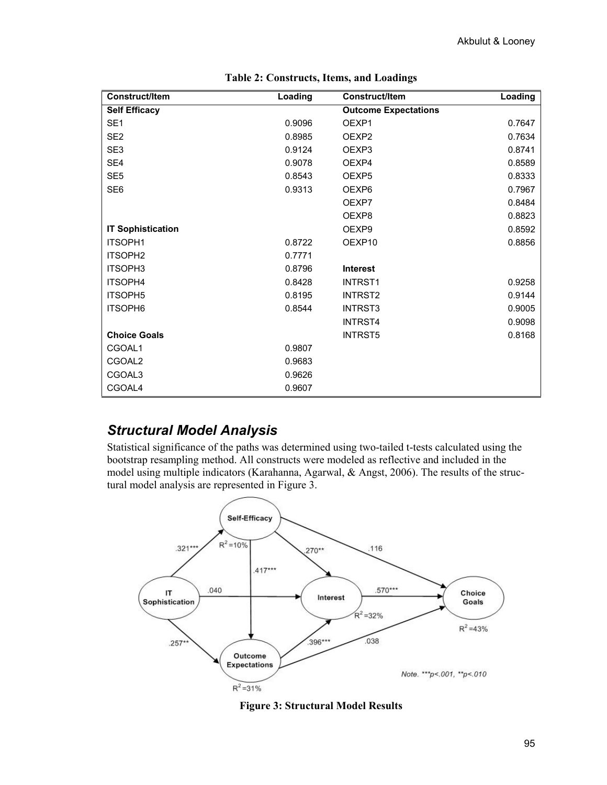| <b>Construct/Item</b>    | Loading | <b>Construct/Item</b>       | Loading |
|--------------------------|---------|-----------------------------|---------|
| <b>Self Efficacy</b>     |         | <b>Outcome Expectations</b> |         |
| SE <sub>1</sub>          | 0.9096  | OEXP1                       | 0.7647  |
| SE <sub>2</sub>          | 0.8985  | OEXP <sub>2</sub>           | 0.7634  |
| SE <sub>3</sub>          | 0.9124  | OEXP <sub>3</sub>           | 0.8741  |
| SE4                      | 0.9078  | OEXP4                       | 0.8589  |
| SE <sub>5</sub>          | 0.8543  | OEXP <sub>5</sub>           | 0.8333  |
| SE <sub>6</sub>          | 0.9313  | OEXP6                       | 0.7967  |
|                          |         | OEXP7                       | 0.8484  |
|                          |         | OEXP8                       | 0.8823  |
| <b>IT Sophistication</b> |         | OEXP9                       | 0.8592  |
| <b>ITSOPH1</b>           | 0.8722  | OEXP10                      | 0.8856  |
| ITSOPH <sub>2</sub>      | 0.7771  |                             |         |
| <b>ITSOPH3</b>           | 0.8796  | <b>Interest</b>             |         |
| ITSOPH4                  | 0.8428  | <b>INTRST1</b>              | 0.9258  |
| <b>ITSOPH5</b>           | 0.8195  | INTRST2                     | 0.9144  |
| ITSOPH6                  | 0.8544  | <b>INTRST3</b>              | 0.9005  |
|                          |         | <b>INTRST4</b>              | 0.9098  |
| <b>Choice Goals</b>      |         | <b>INTRST5</b>              | 0.8168  |
| CGOAL1                   | 0.9807  |                             |         |
| CGOAL2                   | 0.9683  |                             |         |
| CGOAL3                   | 0.9626  |                             |         |
| CGOAL4                   | 0.9607  |                             |         |

| Table 2: Constructs, Items, and Loadings |  |  |
|------------------------------------------|--|--|
|------------------------------------------|--|--|

### *Structural Model Analysis*

Statistical significance of the paths was determined using two-tailed t-tests calculated using the bootstrap resampling method. All constructs were modeled as reflective and included in the model using multiple indicators (Karahanna, Agarwal, & Angst, 2006). The results of the structural model analysis are represented in Figure 3.



**Figure 3: Structural Model Results**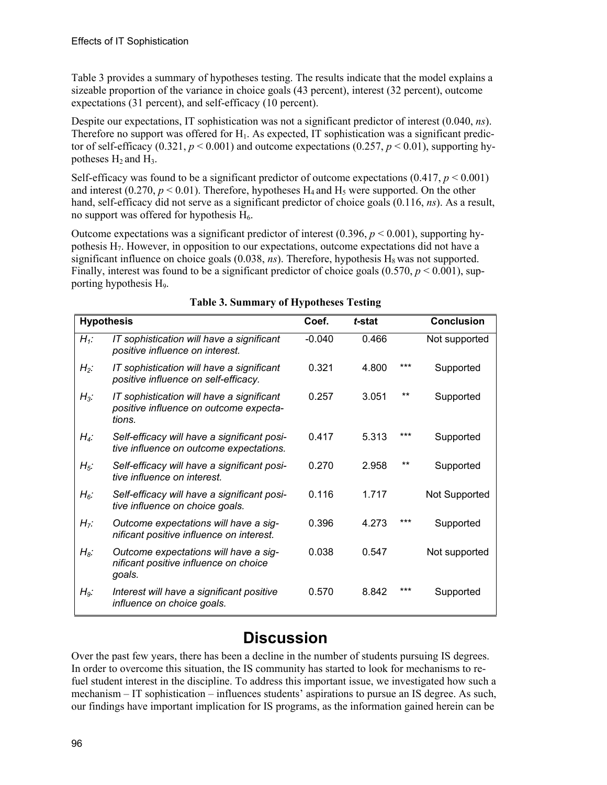Table 3 provides a summary of hypotheses testing. The results indicate that the model explains a sizeable proportion of the variance in choice goals (43 percent), interest (32 percent), outcome expectations (31 percent), and self-efficacy (10 percent).

Despite our expectations, IT sophistication was not a significant predictor of interest (0.040, *ns*). Therefore no support was offered for  $H_1$ . As expected, IT sophistication was a significant predictor of self-efficacy  $(0.321, p < 0.001)$  and outcome expectations  $(0.257, p < 0.01)$ , supporting hypotheses  $H_2$  and  $H_3$ .

Self-efficacy was found to be a significant predictor of outcome expectations  $(0.417, p \le 0.001)$ and interest (0.270,  $p < 0.01$ ). Therefore, hypotheses  $H_4$  and  $H_5$  were supported. On the other hand, self-efficacy did not serve as a significant predictor of choice goals (0.116, *ns*). As a result, no support was offered for hypothesis  $H_6$ .

Outcome expectations was a significant predictor of interest (0.396, *p* < 0.001), supporting hypothesis  $H_7$ . However, in opposition to our expectations, outcome expectations did not have a significant influence on choice goals  $(0.038, ns)$ . Therefore, hypothesis  $H_8$  was not supported. Finally, interest was found to be a significant predictor of choice goals  $(0.570, p \le 0.001)$ , supporting hypothesis H9.

| <b>Hypothesis</b> |                                                                                               | Coef.    | t-stat |       | <b>Conclusion</b> |
|-------------------|-----------------------------------------------------------------------------------------------|----------|--------|-------|-------------------|
| $H_1$ :           | IT sophistication will have a significant<br>positive influence on interest.                  | $-0.040$ | 0.466  |       | Not supported     |
| $H_2$ :           | IT sophistication will have a significant<br>positive influence on self-efficacy.             | 0.321    | 4.800  | ***   | Supported         |
| $H_3$ :           | IT sophistication will have a significant<br>positive influence on outcome expecta-<br>tions. | 0.257    | 3.051  | **    | Supported         |
| $H_4$ :           | Self-efficacy will have a significant posi-<br>tive influence on outcome expectations.        | 0.417    | 5.313  | ***   | Supported         |
| $H_5$ :           | Self-efficacy will have a significant posi-<br>tive influence on interest.                    | 0.270    | 2.958  | **    | Supported         |
| $H_6$ :           | Self-efficacy will have a significant posi-<br>tive influence on choice goals.                | 0.116    | 1.717  |       | Not Supported     |
| $H_7$ :           | Outcome expectations will have a sig-<br>nificant positive influence on interest.             | 0.396    | 4.273  | ***   | Supported         |
| $H_8$ :           | Outcome expectations will have a sig-<br>nificant positive influence on choice<br>goals.      | 0.038    | 0.547  |       | Not supported     |
| $H_9$ :           | Interest will have a significant positive<br>influence on choice goals.                       | 0.570    | 8.842  | $***$ | Supported         |

#### **Table 3. Summary of Hypotheses Testing**

# **Discussion**

Over the past few years, there has been a decline in the number of students pursuing IS degrees. In order to overcome this situation, the IS community has started to look for mechanisms to refuel student interest in the discipline. To address this important issue, we investigated how such a mechanism – IT sophistication – influences students' aspirations to pursue an IS degree. As such, our findings have important implication for IS programs, as the information gained herein can be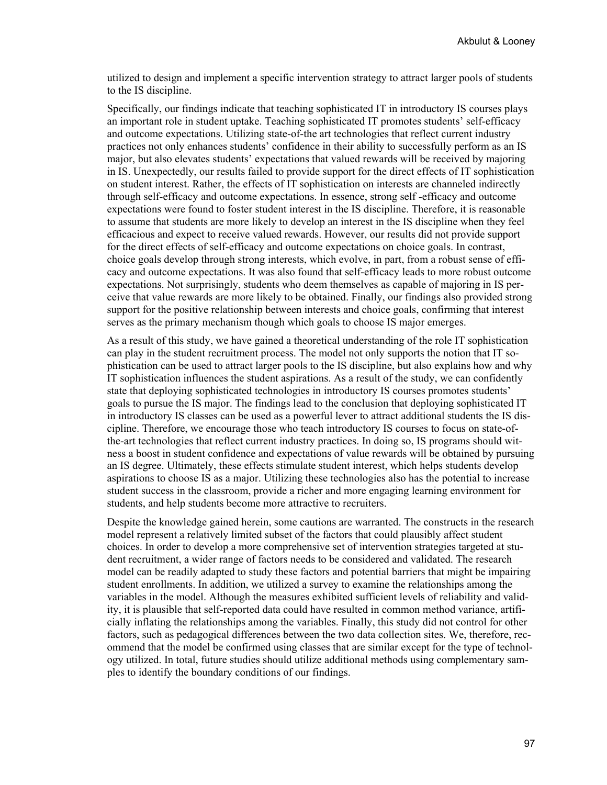utilized to design and implement a specific intervention strategy to attract larger pools of students to the IS discipline.

Specifically, our findings indicate that teaching sophisticated IT in introductory IS courses plays an important role in student uptake. Teaching sophisticated IT promotes students' self-efficacy and outcome expectations. Utilizing state-of-the art technologies that reflect current industry practices not only enhances students' confidence in their ability to successfully perform as an IS major, but also elevates students' expectations that valued rewards will be received by majoring in IS. Unexpectedly, our results failed to provide support for the direct effects of IT sophistication on student interest. Rather, the effects of IT sophistication on interests are channeled indirectly through self-efficacy and outcome expectations. In essence, strong self -efficacy and outcome expectations were found to foster student interest in the IS discipline. Therefore, it is reasonable to assume that students are more likely to develop an interest in the IS discipline when they feel efficacious and expect to receive valued rewards. However, our results did not provide support for the direct effects of self-efficacy and outcome expectations on choice goals. In contrast, choice goals develop through strong interests, which evolve, in part, from a robust sense of efficacy and outcome expectations. It was also found that self-efficacy leads to more robust outcome expectations. Not surprisingly, students who deem themselves as capable of majoring in IS perceive that value rewards are more likely to be obtained. Finally, our findings also provided strong support for the positive relationship between interests and choice goals, confirming that interest serves as the primary mechanism though which goals to choose IS major emerges.

As a result of this study, we have gained a theoretical understanding of the role IT sophistication can play in the student recruitment process. The model not only supports the notion that IT sophistication can be used to attract larger pools to the IS discipline, but also explains how and why IT sophistication influences the student aspirations. As a result of the study, we can confidently state that deploying sophisticated technologies in introductory IS courses promotes students' goals to pursue the IS major. The findings lead to the conclusion that deploying sophisticated IT in introductory IS classes can be used as a powerful lever to attract additional students the IS discipline. Therefore, we encourage those who teach introductory IS courses to focus on state-ofthe-art technologies that reflect current industry practices. In doing so, IS programs should witness a boost in student confidence and expectations of value rewards will be obtained by pursuing an IS degree. Ultimately, these effects stimulate student interest, which helps students develop aspirations to choose IS as a major. Utilizing these technologies also has the potential to increase student success in the classroom, provide a richer and more engaging learning environment for students, and help students become more attractive to recruiters.

Despite the knowledge gained herein, some cautions are warranted. The constructs in the research model represent a relatively limited subset of the factors that could plausibly affect student choices. In order to develop a more comprehensive set of intervention strategies targeted at student recruitment, a wider range of factors needs to be considered and validated. The research model can be readily adapted to study these factors and potential barriers that might be impairing student enrollments. In addition, we utilized a survey to examine the relationships among the variables in the model. Although the measures exhibited sufficient levels of reliability and validity, it is plausible that self-reported data could have resulted in common method variance, artificially inflating the relationships among the variables. Finally, this study did not control for other factors, such as pedagogical differences between the two data collection sites. We, therefore, recommend that the model be confirmed using classes that are similar except for the type of technology utilized. In total, future studies should utilize additional methods using complementary samples to identify the boundary conditions of our findings.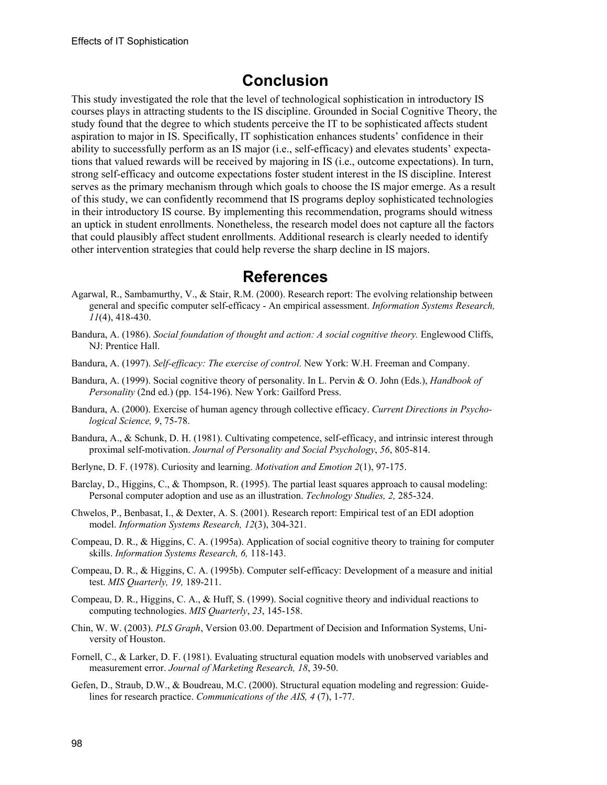## **Conclusion**

This study investigated the role that the level of technological sophistication in introductory IS courses plays in attracting students to the IS discipline. Grounded in Social Cognitive Theory, the study found that the degree to which students perceive the IT to be sophisticated affects student aspiration to major in IS. Specifically, IT sophistication enhances students' confidence in their ability to successfully perform as an IS major (i.e., self-efficacy) and elevates students' expectations that valued rewards will be received by majoring in IS (i.e., outcome expectations). In turn, strong self-efficacy and outcome expectations foster student interest in the IS discipline. Interest serves as the primary mechanism through which goals to choose the IS major emerge. As a result of this study, we can confidently recommend that IS programs deploy sophisticated technologies in their introductory IS course. By implementing this recommendation, programs should witness an uptick in student enrollments. Nonetheless, the research model does not capture all the factors that could plausibly affect student enrollments. Additional research is clearly needed to identify other intervention strategies that could help reverse the sharp decline in IS majors.

### **References**

- Agarwal, R., Sambamurthy, V., & Stair, R.M. (2000). Research report: The evolving relationship between general and specific computer self-efficacy - An empirical assessment. *Information Systems Research, 11*(4), 418-430.
- Bandura, A. (1986). *Social foundation of thought and action: A social cognitive theory.* Englewood Cliffs, NJ: Prentice Hall.
- Bandura, A. (1997). *Self-efficacy: The exercise of control.* New York: W.H. Freeman and Company.
- Bandura, A. (1999). Social cognitive theory of personality. In L. Pervin & O. John (Eds.), *Handbook of Personality* (2nd ed.) (pp. 154-196). New York: Gailford Press.
- Bandura, A. (2000). Exercise of human agency through collective efficacy. *Current Directions in Psychological Science, 9*, 75-78.
- Bandura, A., & Schunk, D. H. (1981). Cultivating competence, self-efficacy, and intrinsic interest through proximal self-motivation. *Journal of Personality and Social Psychology*, *56*, 805-814.
- Berlyne, D. F. (1978). Curiosity and learning. *Motivation and Emotion 2*(1), 97-175.
- Barclay, D., Higgins, C., & Thompson, R. (1995). The partial least squares approach to causal modeling: Personal computer adoption and use as an illustration. *Technology Studies, 2,* 285-324.
- Chwelos, P., Benbasat, I., & Dexter, A. S. (2001). Research report: Empirical test of an EDI adoption model. *Information Systems Research, 12*(3), 304-321.
- Compeau, D. R., & Higgins, C. A. (1995a). Application of social cognitive theory to training for computer skills. *Information Systems Research, 6,* 118-143.
- Compeau, D. R., & Higgins, C. A. (1995b). Computer self-efficacy: Development of a measure and initial test. *MIS Quarterly, 19,* 189-211.
- Compeau, D. R., Higgins, C. A., & Huff, S. (1999). Social cognitive theory and individual reactions to computing technologies. *MIS Quarterly*, *23*, 145-158.
- Chin, W. W. (2003). *PLS Graph*, Version 03.00. Department of Decision and Information Systems, University of Houston.
- Fornell, C., & Larker, D. F. (1981). Evaluating structural equation models with unobserved variables and measurement error. *Journal of Marketing Research, 18*, 39-50.
- Gefen, D., Straub, D.W., & Boudreau, M.C. (2000). Structural equation modeling and regression: Guidelines for research practice. *Communications of the AIS, 4* (7), 1-77.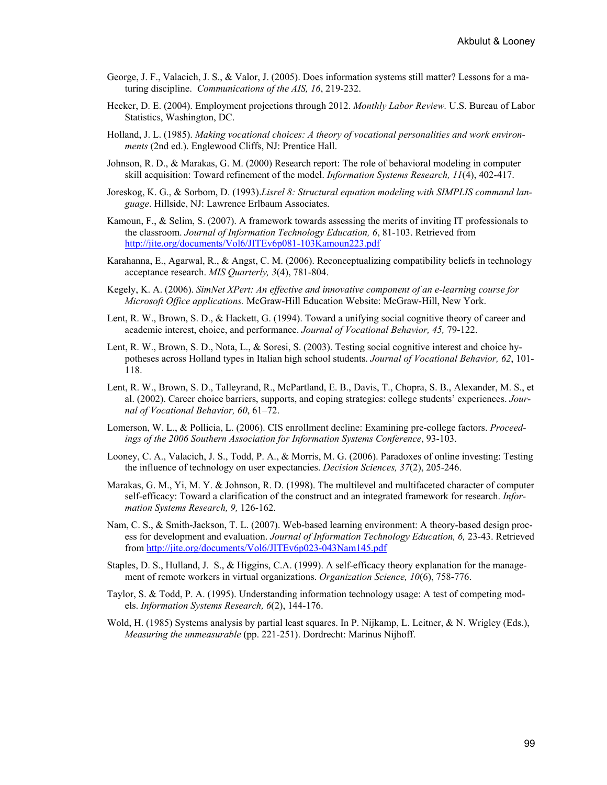- George, J. F., Valacich, J. S., & Valor, J. (2005). Does information systems still matter? Lessons for a maturing discipline. *Communications of the AIS, 16*, 219-232.
- Hecker, D. E. (2004). Employment projections through 2012. *Monthly Labor Review.* U.S. Bureau of Labor Statistics, Washington, DC.
- Holland, J. L. (1985). *Making vocational choices: A theory of vocational personalities and work environments* (2nd ed.). Englewood Cliffs, NJ: Prentice Hall.
- Johnson, R. D., & Marakas, G. M. (2000) Research report: The role of behavioral modeling in computer skill acquisition: Toward refinement of the model. *Information Systems Research, 11*(4), 402-417.
- Joreskog, K. G., & Sorbom, D. (1993).*Lisrel 8: Structural equation modeling with SIMPLIS command language*. Hillside, NJ: Lawrence Erlbaum Associates.
- Kamoun, F., & Selim, S. (2007). A framework towards assessing the merits of inviting IT professionals to the classroom. *Journal of Information Technology Education, 6*, 81-103. Retrieved from <http://jite.org/documents/Vol6/JITEv6p081-103Kamoun223.pdf>
- Karahanna, E., Agarwal, R., & Angst, C. M. (2006). Reconceptualizing compatibility beliefs in technology acceptance research. *MIS Quarterly, 3*(4), 781-804.
- Kegely, K. A. (2006). *SimNet XPert: An effective and innovative component of an e-learning course for Microsoft Office applications.* McGraw-Hill Education Website: McGraw-Hill, New York.
- Lent, R. W., Brown, S. D., & Hackett, G. (1994). Toward a unifying social cognitive theory of career and academic interest, choice, and performance. *Journal of Vocational Behavior, 45,* 79-122.
- Lent, R. W., Brown, S. D., Nota, L., & Soresi, S. (2003). Testing social cognitive interest and choice hypotheses across Holland types in Italian high school students. *Journal of Vocational Behavior, 62*, 101- 118.
- Lent, R. W., Brown, S. D., Talleyrand, R., McPartland, E. B., Davis, T., Chopra, S. B., Alexander, M. S., et al. (2002). Career choice barriers, supports, and coping strategies: college students' experiences. *Journal of Vocational Behavior, 60*, 61–72.
- Lomerson, W. L., & Pollicia, L. (2006). CIS enrollment decline: Examining pre-college factors. *Proceedings of the 2006 Southern Association for Information Systems Conference*, 93-103.
- Looney, C. A., Valacich, J. S., Todd, P. A., & Morris, M. G. (2006). Paradoxes of online investing: Testing the influence of technology on user expectancies. *Decision Sciences, 37*(2), 205-246.
- Marakas, G. M., Yi, M. Y. & Johnson, R. D. (1998). The multilevel and multifaceted character of computer self-efficacy: Toward a clarification of the construct and an integrated framework for research. *Information Systems Research, 9,* 126-162.
- Nam, C. S., & Smith-Jackson, T. L. (2007). Web-based learning environment: A theory-based design process for development and evaluation. *Journal of Information Technology Education, 6,* 23-43. Retrieved from <http://jite.org/documents/Vol6/JITEv6p023-043Nam145.pdf>
- Staples, D. S., Hulland, J. S., & Higgins, C.A. (1999). A self-efficacy theory explanation for the management of remote workers in virtual organizations. *Organization Science, 10*(6), 758-776.
- Taylor, S. & Todd, P. A. (1995). Understanding information technology usage: A test of competing models. *Information Systems Research, 6*(2), 144-176.
- Wold, H. (1985) Systems analysis by partial least squares. In P. Nijkamp, L. Leitner, & N. Wrigley (Eds.), *Measuring the unmeasurable* (pp. 221-251). Dordrecht: Marinus Nijhoff.